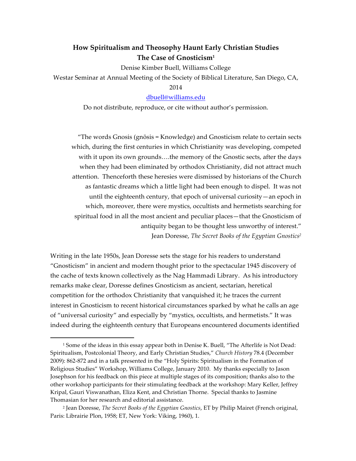# **How Spiritualism and Theosophy Haunt Early Christian Studies The Case of Gnosticism1**

Denise Kimber Buell, Williams College

Westar Seminar at Annual Meeting of the Society of Biblical Literature, San Diego, CA,

## 2014

## dbuell@williams.edu

Do not distribute, reproduce, or cite without author's permission.

"The words Gnosis (gnōsis = Knowledge) and Gnosticism relate to certain sects which, during the first centuries in which Christianity was developing, competed with it upon its own grounds….the memory of the Gnostic sects, after the days when they had been eliminated by orthodox Christianity, did not attract much attention. Thenceforth these heresies were dismissed by historians of the Church as fantastic dreams which a little light had been enough to dispel. It was not until the eighteenth century, that epoch of universal curiosity—an epoch in which, moreover, there were mystics, occultists and hermetists searching for spiritual food in all the most ancient and peculiar places—that the Gnosticism of antiquity began to be thought less unworthy of interest." Jean Doresse, *The Secret Books of the Egyptian Gnostics2*

Writing in the late 1950s, Jean Doresse sets the stage for his readers to understand "Gnosticism" in ancient and modern thought prior to the spectacular 1945 discovery of the cache of texts known collectively as the Nag Hammadi Library. As his introductory remarks make clear, Doresse defines Gnosticism as ancient, sectarian, heretical competition for the orthodox Christianity that vanquished it; he traces the current interest in Gnosticism to recent historical circumstances sparked by what he calls an age of "universal curiosity" and especially by "mystics, occultists, and hermetists." It was indeed during the eighteenth century that Europeans encountered documents identified

<sup>&</sup>lt;sup>1</sup> Some of the ideas in this essay appear both in Denise K. Buell, "The Afterlife is Not Dead: Spiritualism, Postcolonial Theory, and Early Christian Studies," *Church History* 78.4 (December 2009): 862-872 and in a talk presented in the "Holy Spirits: Spiritualism in the Formation of Religious Studies" Workshop, Williams College, January 2010. My thanks especially to Jason Josephson for his feedback on this piece at multiple stages of its composition; thanks also to the other workshop participants for their stimulating feedback at the workshop: Mary Keller, Jeffrey Kripal, Gauri Viswanathan, Eliza Kent, and Christian Thorne. Special thanks to Jasmine Thomasian for her research and editorial assistance.

<sup>2</sup> Jean Doresse, *The Secret Books of the Egyptian Gnostics*, ET by Philip Mairet (French original, Paris: Librairie Plon, 1958; ET, New York: Viking, 1960), 1.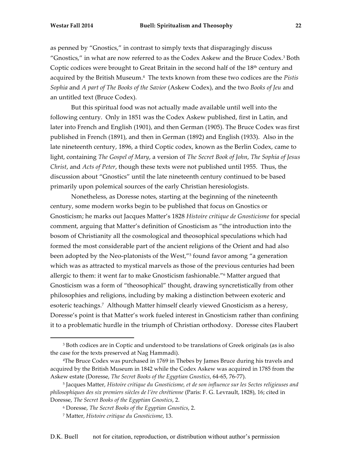as penned by "Gnostics," in contrast to simply texts that disparagingly discuss "Gnostics," in what are now referred to as the Codex Askew and the Bruce Codex.3 Both Coptic codices were brought to Great Britain in the second half of the  $18<sup>th</sup>$  century and acquired by the British Museum.4 The texts known from these two codices are the *Pistis Sophia* and *A part of The Books of the Savior* (Askew Codex), and the two *Books of Jeu* and an untitled text (Bruce Codex).

But this spiritual food was not actually made available until well into the following century. Only in 1851 was the Codex Askew published, first in Latin, and later into French and English (1901), and then German (1905). The Bruce Codex was first published in French (1891), and then in German (1892) and English (1933). Also in the late nineteenth century, 1896, a third Coptic codex, known as the Berlin Codex, came to light, containing *The Gospel of Mary*, a version of *The Secret Book of John*, *The Sophia of Jesus Christ*, and *Acts of Peter*, though these texts were not published until 1955. Thus, the discussion about "Gnostics" until the late nineteenth century continued to be based primarily upon polemical sources of the early Christian heresiologists.

Nonetheless, as Doresse notes, starting at the beginning of the nineteenth century, some modern works begin to be published that focus on Gnostics or Gnosticism; he marks out Jacques Matter's 1828 *Histoire critique de Gnosticisme* for special comment, arguing that Matter's definition of Gnosticism as "the introduction into the bosom of Christianity all the cosmological and theosophical speculations which had formed the most considerable part of the ancient religions of the Orient and had also been adopted by the Neo-platonists of the West,"5 found favor among "a generation which was as attracted to mystical marvels as those of the previous centuries had been allergic to them: it went far to make Gnosticism fashionable."6 Matter argued that Gnosticism was a form of "theosophical" thought, drawing syncretistically from other philosophies and religions, including by making a distinction between exoteric and esoteric teachings.7 Although Matter himself clearly viewed Gnosticism as a heresy, Doresse's point is that Matter's work fueled interest in Gnosticism rather than confining it to a problematic hurdle in the triumph of Christian orthodoxy. Doresse cites Flaubert

<sup>3</sup> Both codices are in Coptic and understood to be translations of Greek originals (as is also the case for the texts preserved at Nag Hammadi).

<sup>4</sup>The Bruce Codex was purchased in 1769 in Thebes by James Bruce during his travels and acquired by the British Museum in 1842 while the Codex Askew was acquired in 1785 from the Askew estate (Doresse, *The Secret Books of the Egyptian Gnostics*, 64-65, 76-77).

<sup>5</sup> Jacques Matter, *Histoire critique du Gnosticisme, et de son influence sur les Sectes religieuses and philosophiques des six premiers siècles de l'ère chrétienne* (Paris: F. G. Levrault, 1828), 16; cited in Doresse, *The Secret Books of the Egyptian Gnostics*, 2.

<sup>6</sup> Doresse, *The Secret Books of the Egyptian Gnostics*, 2.

<sup>7</sup> Matter, *Histoire critique du Gnosticisme*, 13.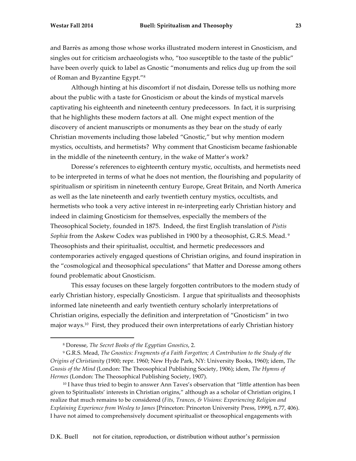and Barrès as among those whose works illustrated modern interest in Gnosticism, and singles out for criticism archaeologists who, "too susceptible to the taste of the public" have been overly quick to label as Gnostic "monuments and relics dug up from the soil of Roman and Byzantine Egypt."8

Although hinting at his discomfort if not disdain, Doresse tells us nothing more about the public with a taste for Gnosticism or about the kinds of mystical marvels captivating his eighteenth and nineteenth century predecessors. In fact, it is surprising that he highlights these modern factors at all. One might expect mention of the discovery of ancient manuscripts or monuments as they bear on the study of early Christian movements including those labeled "Gnostic," but why mention modern mystics, occultists, and hermetists? Why comment that Gnosticism became fashionable in the middle of the nineteenth century, in the wake of Matter's work?

Doresse's references to eighteenth century mystic, occultists, and hermetists need to be interpreted in terms of what he does not mention, the flourishing and popularity of spiritualism or spiritism in nineteenth century Europe, Great Britain, and North America as well as the late nineteenth and early twentieth century mystics, occultists, and hermetists who took a very active interest in re-interpreting early Christian history and indeed in claiming Gnosticism for themselves, especially the members of the Theosophical Society, founded in 1875. Indeed, the first English translation of *Pistis Sophia* from the Askew Codex was published in 1900 by a theosophist, G.R.S. Mead. 9 Theosophists and their spiritualist, occultist, and hermetic predecessors and contemporaries actively engaged questions of Christian origins, and found inspiration in the "cosmological and theosophical speculations" that Matter and Doresse among others found problematic about Gnosticism.

This essay focuses on these largely forgotten contributors to the modern study of early Christian history, especially Gnosticism. I argue that spiritualists and theosophists informed late nineteenth and early twentieth century scholarly interpretations of Christian origins, especially the definition and interpretation of "Gnosticism" in two major ways.10 First, they produced their own interpretations of early Christian history

<sup>8</sup> Doresse, *The Secret Books of the Egyptian Gnostics*, 2.

<sup>9</sup> G.R.S. Mead, *The Gnostics: Fragments of a Faith Forgotten; A Contribution to the Study of the Origins of Christianity* (1900; repr. 1960; New Hyde Park, NY: University Books, 1960); idem, *The Gnosis of the Mind* (London: The Theosophical Publishing Society, 1906); idem, *The Hymns of Hermes* (London: The Theosophical Publishing Society, 1907).

<sup>&</sup>lt;sup>10</sup> I have thus tried to begin to answer Ann Taves's observation that "little attention has been given to Spiritualists' interests in Christian origins," although as a scholar of Christian origins, I realize that much remains to be considered (*Fits, Trances, & Visions: Experiencing Religion and Explaining Experience from Wesley to James* [Princeton: Princeton University Press, 1999], n.77, 406). I have not aimed to comprehensively document spiritualist or theosophical engagements with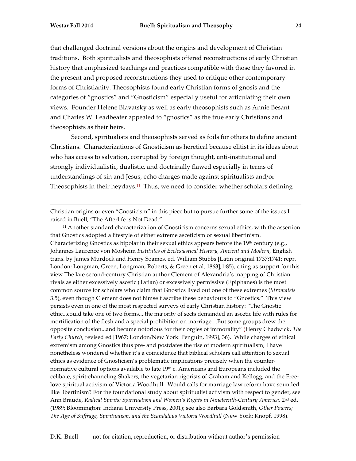that challenged doctrinal versions about the origins and development of Christian traditions. Both spiritualists and theosophists offered reconstructions of early Christian history that emphasized teachings and practices compatible with those they favored in the present and proposed reconstructions they used to critique other contemporary forms of Christianity. Theosophists found early Christian forms of gnosis and the categories of "gnostics" and "Gnosticism" especially useful for articulating their own views. Founder Helene Blavatsky as well as early theosophists such as Annie Besant and Charles W. Leadbeater appealed to "gnostics" as the true early Christians and theosophists as their heirs.

Second, spiritualists and theosophists served as foils for others to define ancient Christians. Characterizations of Gnosticism as heretical because elitist in its ideas about who has access to salvation, corrupted by foreign thought, anti-institutional and strongly individualistic, dualistic, and doctrinally flawed especially in terms of understandings of sin and Jesus, echo charges made against spiritualists and/or Theosophists in their heydays.11 Thus, we need to consider whether scholars defining

Christian origins or even "Gnosticism" in this piece but to pursue further some of the issues I raised in Buell, "The Afterlife is Not Dead."

<u> 1989 - Andrea Santa Alemania, amerikana amerikana amerikana amerikana amerikana amerikana amerikana amerikana</u>

<sup>11</sup> Another standard characterization of Gnosticism concerns sexual ethics, with the assertion that Gnostics adopted a lifestyle of either extreme asceticism or sexual libertinism. Characterizing Gnostics as bipolar in their sexual ethics appears before the 19<sup>th</sup> century (e.g., Johannes Laurence von Mosheim *Institutes of Ecclesiastical History, Ancient and Modern*, English trans. by James Murdock and Henry Soames, ed. William Stubbs [Latin original 1737;1741; repr. London: Longman, Green, Longman, Roberts, & Green et al, 1863],1:85), citing as support for this view The late second-century Christian author Clement of Alexandria's mapping of Christian rivals as either excessively ascetic (Tatian) or excessively permissive (Epiphanes) is the most common source for scholars who claim that Gnostics lived out one of these extremes (*Stromateis* 3.5), even though Clement does not himself ascribe these behaviours to "Gnostics." This view persists even in one of the most respected surveys of early Christian history: "The Gnostic ethic...could take one of two forms....the majority of sects demanded an ascetic life with rules for mortification of the flesh and a special prohibition on marriage....But some groups drew the opposite conclusion...and became notorious for their orgies of immorality" (Henry Chadwick, *The Early Church*, revised ed [1967; London/New York: Penguin, 1993], 36). While charges of ethical extremism among Gnostics thus pre- and postdates the rise of modern spiritualism, I have nonetheless wondered whether it's a coincidence that biblical scholars call attention to sexual ethics as evidence of Gnosticism's problematic implications precisely when the counternormative cultural options available to late 19th c. Americans and Europeans included the celibate, spirit-channeling Shakers, the vegetarian rigorists of Graham and Kellogg, and the Freelove spiritual activism of Victoria Woodhull. Would calls for marriage law reform have sounded like libertinism? For the foundational study about spiritualist activism with respect to gender, see Ann Braude, *Radical Spirits: Spiritualism and Women's Rights in Nineteenth-Century America*, 2nd ed. (1989; Bloomington: Indiana University Press, 2001); see also Barbara Goldsmith, *Other Powers; The Age of Suffrage, Spiritualism, and the Scandalous Victoria Woodhull* (New York: Knopf, 1998).

D.K. Buell not for citation, reproduction, or distribution without author's permission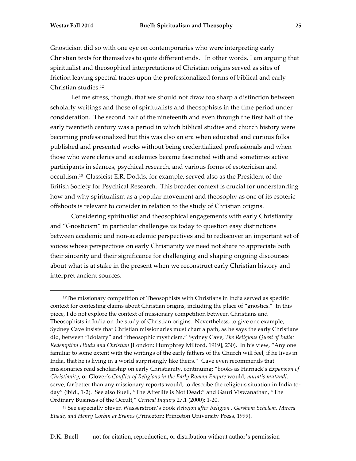Gnosticism did so with one eye on contemporaries who were interpreting early Christian texts for themselves to quite different ends. In other words, I am arguing that spiritualist and theosophical interpretations of Christian origins served as sites of friction leaving spectral traces upon the professionalized forms of biblical and early Christian studies.12

Let me stress, though, that we should not draw too sharp a distinction between scholarly writings and those of spiritualists and theosophists in the time period under consideration. The second half of the nineteenth and even through the first half of the early twentieth century was a period in which biblical studies and church history were becoming professionalized but this was also an era when educated and curious folks published and presented works without being credentialized professionals and when those who were clerics and academics became fascinated with and sometimes active participants in séances, psychical research, and various forms of esotericism and occultism.13 Classicist E.R. Dodds, for example, served also as the President of the British Society for Psychical Research. This broader context is crucial for understanding how and why spiritualism as a popular movement and theosophy as one of its esoteric offshoots is relevant to consider in relation to the study of Christian origins.

Considering spiritualist and theosophical engagements with early Christianity and "Gnosticism" in particular challenges us today to question easy distinctions between academic and non-academic perspectives and to rediscover an important set of voices whose perspectives on early Christianity we need not share to appreciate both their sincerity and their significance for challenging and shaping ongoing discourses about what is at stake in the present when we reconstruct early Christian history and interpret ancient sources.

<sup>&</sup>lt;sup>12</sup>The missionary competition of Theosophists with Christians in India served as specific context for contesting claims about Christian origins, including the place of "gnostics." In this piece, I do not explore the context of missionary competition between Christians and Theosophists in India on the study of Christian origins. Nevertheless, to give one example, Sydney Cave insists that Christian missionaries must chart a path, as he says the early Christians did, between "idolatry" and "theosophic mysticism." Sydney Cave, *The Religious Quest of India: Redemption Hindu and Christian* [London: Humphrey Milford, 1919], 230). In his view, "Any one familiar to some extent with the writings of the early fathers of the Church will feel, if he lives in India, that he is living in a world surprisingly like theirs." Cave even recommends that missionaries read scholarship on early Christianity, continuing: "books as Harnack's *Expansion of Christianity*, or Glover's *Conflict of Religions in the Early Roman Empire* would, *mutatis mutandi*, serve, far better than any missionary reports would, to describe the religious situation in India today" (ibid., 1-2). See also Buell, "The Afterlife is Not Dead;" and Gauri Viswanathan, "The Ordinary Business of the Occult," *Critical Inquiry* 27.1 (2000): 1-20.

<sup>13</sup> See especially Steven Wasserstrom's book *Religion after Religion : Gershom Scholem, Mircea Eliade, and Henry Corbin at Eranos* (Princeton: Princeton University Press, 1999).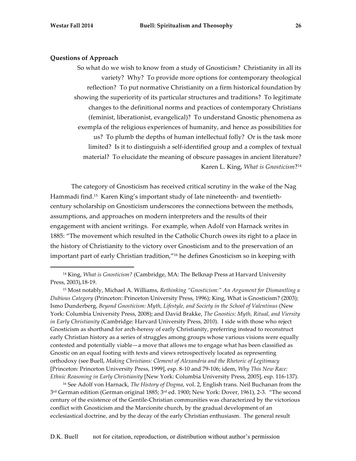#### **Questions of Approach**

 

So what do we wish to know from a study of Gnosticism? Christianity in all its variety? Why? To provide more options for contemporary theological reflection? To put normative Christianity on a firm historical foundation by showing the superiority of its particular structures and traditions? To legitimate changes to the definitional norms and practices of contemporary Christians (feminist, liberationist, evangelical)? To understand Gnostic phenomena as exempla of the religious experiences of humanity, and hence as possibilities for us? To plumb the depths of human intellectual folly? Or is the task more limited? Is it to distinguish a self-identified group and a complex of textual material? To elucidate the meaning of obscure passages in ancient literature? Karen L. King, *What is Gnosticism*?14

The category of Gnosticism has received critical scrutiny in the wake of the Nag Hammadi find.15 Karen King's important study of late nineteenth- and twentiethcentury scholarship on Gnosticism underscores the connections between the methods, assumptions, and approaches on modern interpreters and the results of their engagement with ancient writings. For example, when Adolf von Harnack writes in 1885: "The movement which resulted in the Catholic Church owes its right to a place in the history of Christianity to the victory over Gnosticism and to the preservation of an important part of early Christian tradition,"16 he defines Gnosticism so in keeping with

<sup>16</sup> See Adolf von Harnack, *The History of Dogma*, vol. 2, English trans. Neil Buchanan from the 3rd German edition (German original 1885; 3rd ed. 1900; New York: Dover, 1961), 2-3. "The second century of the existence of the Gentile-Christian communities was characterized by the victorious conflict with Gnosticism and the Marcionite church, by the gradual development of an ecclesiastical doctrine, and by the decay of the early Christian enthusiasm. The general result

<sup>14</sup> King, *What is Gnosticism?* (Cambridge, MA: The Belknap Press at Harvard University Press, 2003),18-19.

<sup>15</sup> Most notably, Michael A. Williams, *Rethinking "Gnosticism:" An Argument for Dismantling a Dubious Category* (Princeton: Princeton University Press, 1996); King, What is Gnosticism? (2003); Ismo Dunderberg, *Beyond Gnosticism: Myth, Lifestyle, and Society in the School of Valentinus* (New York: Columbia University Press, 2008); and David Brakke, *The Gnostics: Myth, Ritual, and Viersity in Early Christianity* (Cambridge: Harvard University Press, 2010). I side with those who reject Gnosticism as shorthand for arch-heresy of early Christianity, preferring instead to reconstruct early Christian history as a series of struggles among groups whose various visions were equally contested and potentially viable—a move that allows me to engage what has been classified as Gnostic on an equal footing with texts and views retrospectively located as representing orthodoxy (see Buell, *Making Christians: Clement of Alexandria and the Rhetoric of Legitimacy* [Princeton: Princeton University Press, 1999], esp. 8-10 and 79-106; idem, *Why This New Race: Ethnic Reasoning in Early Christianity* [New York: Columbia University Press, 2005], esp. 116-137).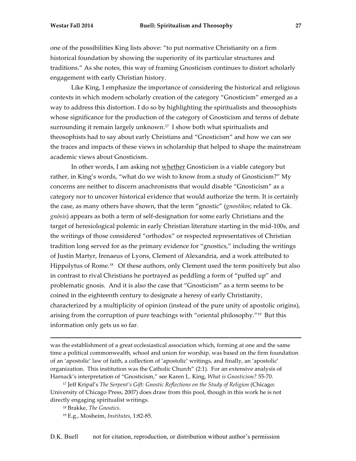one of the possibilities King lists above: "to put normative Christianity on a firm historical foundation by showing the superiority of its particular structures and traditions." As she notes, this way of framing Gnosticism continues to distort scholarly engagement with early Christian history.

Like King, I emphasize the importance of considering the historical and religious contexts in which modern scholarly creation of the category "Gnosticism" emerged as a way to address this distortion. I do so by highlighting the spiritualists and theosophists whose significance for the production of the category of Gnosticism and terms of debate surrounding it remain largely unknown.<sup>17</sup> I show both what spiritualists and theosophists had to say about early Christians and "Gnosticism" and how we can see the traces and impacts of these views in scholarship that helped to shape the mainstream academic views about Gnosticism.

In other words, I am asking not whether Gnosticism is a viable category but rather, in King's words, "what do we wish to know from a study of Gnosticism?" My concerns are neither to discern anachronisms that would disable "Gnosticism" as a category nor to uncover historical evidence that would authorize the term. It is certainly the case, as many others have shown, that the term "gnostic" (*gnostikos*; related to Gk. *gnōsis*) appears as both a term of self-designation for some early Christians and the target of heresiological polemic in early Christian literature starting in the mid-100s, and the writings of those considered "orthodox" or respected representatives of Christian tradition long served for as the primary evidence for "gnostics," including the writings of Justin Martyr, Irenaeus of Lyons, Clement of Alexandria, and a work attributed to Hippolytus of Rome.<sup>18</sup> Of these authors, only Clement used the term positively but also in contrast to rival Christians he portrayed as peddling a form of "puffed up" and problematic gnosis. And it is also the case that "Gnosticism" as a term seems to be coined in the eighteenth century to designate a heresy of early Christianity, characterized by a multiplicity of opinion (instead of the pure unity of apostolic origins), arising from the corruption of pure teachings with "oriental philosophy."19 But this information only gets us so far.

was the establishment of a great ecclesiastical association which, forming at one and the same time a political commonwealth, school and union for worship, was based on the firm foundation of an 'apostolic' law of faith, a collection of 'apostolic' writings, and finally, an 'apostolic' organization. This institution was the Catholic Church" (2:1). For an extensive analysis of Harnack's interpretation of "Gnosticism," see Karen L. King, *What is Gnosticism?* 55-70.

<sup>17</sup> Jeff Kripal's *The Serpent's Gift: Gnostic Reflections on the Study of Religion* (Chicago: University of Chicago Press, 2007) does draw from this pool, though in this work he is not directly engaging spiritualist writings.

<sup>18</sup> Brakke, *The Gnostics*.

<sup>19</sup> E.g., Mosheim, *Institutes*, 1:82-85.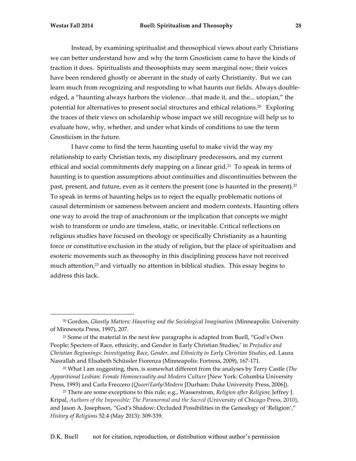Instead, by examining spiritualist and theosophical views about early Christians we can better understand how and why the term Gnosticism came to have the kinds of traction it does. Spiritualists and theosophists may seem marginal now; their voices have been rendered ghostly or aberrant in the study of early Christianity. But we can learn much from recognizing and responding to what haunts our fields. Always doubleedged, a "haunting always harbors the violence…that made it, and the... utopian," the potential for alternatives to present social structures and ethical relations.20 Exploring the traces of their views on scholarship whose impact we still recognize will help us to evaluate how, why, whether, and under what kinds of conditions to use the term Gnosticism in the future.

I have come to find the term haunting useful to make vivid the way my relationship to early Christian texts, my disciplinary predecessors, and my current ethical and social commitments defy mapping on a linear grid.<sup>21</sup> To speak in terms of haunting is to question assumptions about continuities and discontinuities between the past, present, and future, even as it centers the present (one is haunted in the present).<sup>22</sup> To speak in terms of haunting helps us to reject the equally problematic notions of causal determinism or sameness between ancient and modern contexts. Haunting offers one way to avoid the trap of anachronism or the implication that concepts we might wish to transform or undo are timeless, static, or inevitable. Critical reflections on religious studies have focused on theology or specifically Christianity as a haunting force or constitutive exclusion in the study of religion, but the place of spiritualism and esoteric movements such as theosophy in this disciplining process have not received much attention,23 and virtually no attention in biblical studies. This essay begins to address this lack.

<sup>20</sup> Gordon, *Ghostly Matters: Haunting and the Sociological Imagination* (Minneapolis: University of Minnesota Press, 1997), 207.

<sup>21</sup> Some of the material in the next few paragraphs is adapted from Buell, "God's Own People: Specters of Race, ethnicity, and Gender in Early Christian Studies,' in *Prejudice and Christian Beginnings: Investigating Race, Gender, and Ethnicity in Early Christian Studies*, ed. Laura Nasrallah and Elisabeth Schüssler Fiorenza (Minneapolis: Fortress, 2009), 167-171.

<sup>22</sup> What I am suggesting, then, is somewhat different from the analyses by Terry Castle (*The Apparitional Lesbian: Female Homosexuality and Modern Culture* [New York: Columbia University Press, 1993) and Carla Freccero (*Queer/Early/Modern* [Durham: Duke University Press, 2006]).

<sup>23</sup> There are some exceptions to this rule; e.g., Wasserstrom, *Religion after Religion*; Jeffrey J. Kripal, *Authors of the Impossible: The Paranormal and the Sacred* (University of Chicago Press, 2010), and Jason A. Josephson, "God's Shadow: Occluded Possibilities in the Genealogy of 'Religion'," *History of Religions* 52.4 (May 2013): 309-339.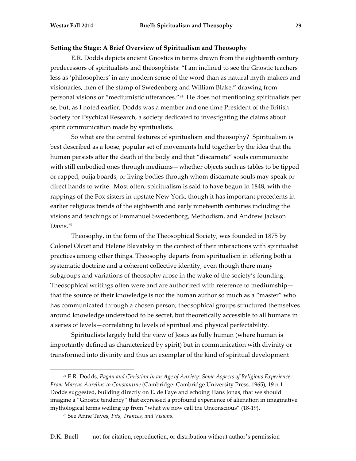## **Setting the Stage: A Brief Overview of Spiritualism and Theosophy**

E.R. Dodds depicts ancient Gnostics in terms drawn from the eighteenth century predecessors of spiritualists and theosophists: "I am inclined to see the Gnostic teachers less as 'philosophers' in any modern sense of the word than as natural myth-makers and visionaries, men of the stamp of Swedenborg and William Blake," drawing from personal visions or "mediumistic utterances."24 He does not mentioning spiritualists per se, but, as I noted earlier, Dodds was a member and one time President of the British Society for Psychical Research, a society dedicated to investigating the claims about spirit communication made by spiritualists.

So what are the central features of spiritualism and theosophy? Spiritualism is best described as a loose, popular set of movements held together by the idea that the human persists after the death of the body and that "discarnate" souls communicate with still embodied ones through mediums—whether objects such as tables to be tipped or rapped, ouija boards, or living bodies through whom discarnate souls may speak or direct hands to write. Most often, spiritualism is said to have begun in 1848, with the rappings of the Fox sisters in upstate New York, though it has important precedents in earlier religious trends of the eighteenth and early nineteenth centuries including the visions and teachings of Emmanuel Swedenborg, Methodism, and Andrew Jackson Davis.<sup>25</sup>

Theosophy, in the form of the Theosophical Society, was founded in 1875 by Colonel Olcott and Helene Blavatsky in the context of their interactions with spiritualist practices among other things. Theosophy departs from spiritualism in offering both a systematic doctrine and a coherent collective identity, even though there many subgroups and variations of theosophy arose in the wake of the society's founding. Theosophical writings often were and are authorized with reference to mediumship that the source of their knowledge is not the human author so much as a "master" who has communicated through a chosen person; theosophical groups structured themselves around knowledge understood to be secret, but theoretically accessible to all humans in a series of levels—correlating to levels of spiritual and physical perfectability.

Spiritualists largely held the view of Jesus as fully human (where human is importantly defined as characterized by spirit) but in communication with divinity or transformed into divinity and thus an exemplar of the kind of spiritual development

<sup>24</sup> E.R. Dodds, *Pagan and Christian in an Age of Anxiety: Some Aspects of Religious Experience From Marcus Aurelius to Constantine* (Cambridge: Cambridge University Press, 1965), 19 n.1. Dodds suggested, building directly on E. de Faye and echoing Hans Jonas, that we should imagine a "Gnostic tendency" that expressed a profound experience of alienation in imaginative mythological terms welling up from "what we now call the Unconscious" (18-19).

<sup>25</sup> See Anne Taves, *Fits, Trances, and Visions*.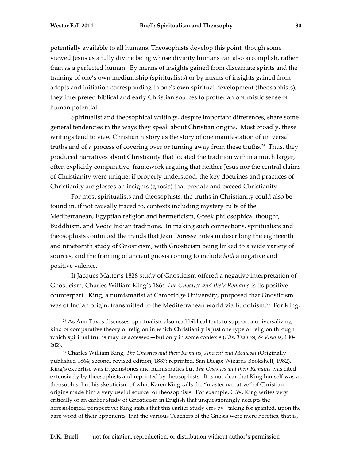potentially available to all humans. Theosophists develop this point, though some viewed Jesus as a fully divine being whose divinity humans can also accomplish, rather than as a perfected human. By means of insights gained from discarnate spirits and the training of one's own mediumship (spiritualists) or by means of insights gained from adepts and initiation corresponding to one's own spiritual development (theosophists), they interpreted biblical and early Christian sources to proffer an optimistic sense of human potential.

Spiritualist and theosophical writings, despite important differences, share some general tendencies in the ways they speak about Christian origins. Most broadly, these writings tend to view Christian history as the story of one manifestation of universal truths and of a process of covering over or turning away from these truths.<sup>26</sup> Thus, they produced narratives about Christianity that located the tradition within a much larger, often explicitly comparative, framework arguing that neither Jesus nor the central claims of Christianity were unique; if properly understood, the key doctrines and practices of Christianity are glosses on insights (gnosis) that predate and exceed Christianity.

For most spiritualists and theosophists, the truths in Christianity could also be found in, if not causally traced to, contexts including mystery cults of the Mediterranean, Egyptian religion and hermeticism, Greek philosophical thought, Buddhism, and Vedic Indian traditions. In making such connections, spiritualists and theosophists continued the trends that Jean Doresse notes in describing the eighteenth and nineteenth study of Gnosticism, with Gnosticism being linked to a wide variety of sources, and the framing of ancient gnosis coming to include *both* a negative and positive valence.

If Jacques Matter's 1828 study of Gnosticism offered a negative interpretation of Gnosticism, Charles William King's 1864 *The Gnostics and their Remains* is its positive counterpart. King, a numismatist at Cambridge University, proposed that Gnosticism was of Indian origin, transmitted to the Mediterranean world via Buddhism.<sup>27</sup> For King,

<sup>&</sup>lt;sup>26</sup> As Ann Taves discusses, spiritualists also read biblical texts to support a universalizing kind of comparative theory of religion in which Christianity is just one type of religion through which spiritual truths may be accessed—but only in some contexts (*Fits, Trances, & Visions*, 180- 202).

<sup>27</sup> Charles William King, *The Gnostics and their Remains, Ancient and Medieval* (Originally published 1864; second, revised edition, 1887; reprinted, San Diego: Wizards Bookshelf, 1982). King's expertise was in gemstones and numismatics but *The Gnostics and their Remains* was cited extensively by theosophists and reprinted by theosophists. It is not clear that King himself was a theosophist but his skepticism of what Karen King calls the "master narrative" of Christian origins made him a very useful source for theosophists. For example, C.W. King writes very critically of an earlier study of Gnosticism in English that unquestioningly accepts the heresiological perspective; King states that this earlier study errs by "taking for granted, upon the bare word of their opponents, that the various Teachers of the Gnosis were mere heretics, that is,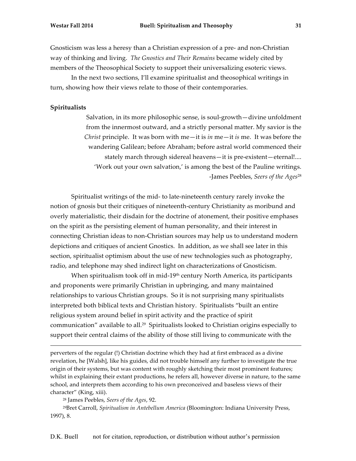Gnosticism was less a heresy than a Christian expression of a pre- and non-Christian way of thinking and living. *The Gnostics and Their Remains* became widely cited by members of the Theosophical Society to support their universalizing esoteric views.

In the next two sections, I'll examine spiritualist and theosophical writings in turn, showing how their views relate to those of their contemporaries.

#### **Spiritualists**

Salvation, in its more philosophic sense, is soul-growth—divine unfoldment from the innermost outward, and a strictly personal matter. My savior is the *Christ* principle. It was born with me—it is *in* me—it *is* me. It was before the wandering Galilean; before Abraham; before astral world commenced their stately march through sidereal heavens—it is pre-existent—eternal!.... 'Work out your own salvation,' is among the best of the Pauline writings. -James Peebles, *Seers of the Ages*<sup>28</sup>

Spiritualist writings of the mid- to late-nineteenth century rarely invoke the notion of gnosis but their critiques of nineteenth-century Christianity as moribund and overly materialistic, their disdain for the doctrine of atonement, their positive emphases on the spirit as the persisting element of human personality, and their interest in connecting Christian ideas to non-Christian sources may help us to understand modern depictions and critiques of ancient Gnostics. In addition, as we shall see later in this section, spiritualist optimism about the use of new technologies such as photography, radio, and telephone may shed indirect light on characterizations of Gnosticism.

When spiritualism took off in mid-19<sup>th</sup> century North America, its participants and proponents were primarily Christian in upbringing, and many maintained relationships to various Christian groups. So it is not surprising many spiritualists interpreted both biblical texts and Christian history. Spiritualists "built an entire religious system around belief in spirit activity and the practice of spirit communication" available to all.29 Spiritualists looked to Christian origins especially to support their central claims of the ability of those still living to communicate with the

perverters of the regular (!) Christian doctrine which they had at first embraced as a divine revelation, he [Walsh], like his guides, did not trouble himself any further to investigate the true origin of their systems, but was content with roughly sketching their most prominent features; whilst in explaining their extant productions, he refers all, however diverse in nature, to the same school, and interprets them according to his own preconceived and baseless views of their character" (King, xiii).

<u> 1989 - Andrea Santa Alemania, amerikana amerikana amerikana amerikana amerikana amerikana amerikana amerikana</u>

<sup>28</sup> James Peebles, *Seers of the Ages*, 92.

29Bret Carroll, *Spiritualism in Antebellum America* (Bloomington: Indiana University Press, 1997), 8.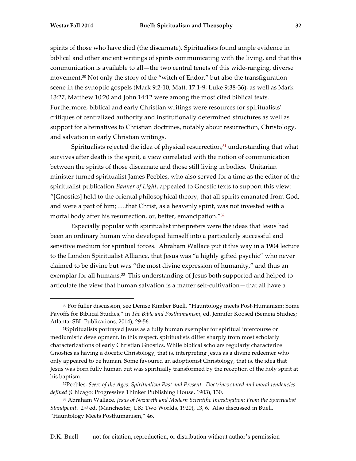spirits of those who have died (the discarnate). Spiritualists found ample evidence in biblical and other ancient writings of spirits communicating with the living, and that this communication is available to all—the two central tenets of this wide-ranging, diverse movement.30 Not only the story of the "witch of Endor," but also the transfiguration scene in the synoptic gospels (Mark 9:2-10; Matt. 17:1-9; Luke 9:38-36), as well as Mark 13:27, Matthew 10:20 and John 14:12 were among the most cited biblical texts. Furthermore, biblical and early Christian writings were resources for spiritualists' critiques of centralized authority and institutionally determined structures as well as support for alternatives to Christian doctrines, notably about resurrection, Christology, and salvation in early Christian writings.

Spiritualists rejected the idea of physical resurrection, $31$  understanding that what survives after death is the spirit, a view correlated with the notion of communication between the spirits of those discarnate and those still living in bodies. Unitarian minister turned spiritualist James Peebles, who also served for a time as the editor of the spiritualist publication *Banner of Light*, appealed to Gnostic texts to support this view: "[Gnostics] held to the oriental philosophical theory, that all spirits emanated from God, and were a part of him; ….that Christ, as a heavenly spirit, was not invested with a mortal body after his resurrection, or, better, emancipation."32

Especially popular with spiritualist interpreters were the ideas that Jesus had been an ordinary human who developed himself into a particularly successful and sensitive medium for spiritual forces. Abraham Wallace put it this way in a 1904 lecture to the London Spiritualist Alliance, that Jesus was "a highly gifted psychic" who never claimed to be divine but was "the most divine expression of humanity," and thus an exemplar for all humans.<sup>33</sup> This understanding of Jesus both supported and helped to articulate the view that human salvation is a matter self-cultivation—that all have a

<sup>30</sup> For fuller discussion, see Denise Kimber Buell, "Hauntology meets Post-Humanism: Some Payoffs for Biblical Studies," in *The Bible and Posthumanism*, ed. Jennifer Koosed (Semeia Studies; Atlanta: SBL Publications, 2014), 29-56.

<sup>31</sup>Spiritualists portrayed Jesus as a fully human exemplar for spiritual intercourse or mediumistic development. In this respect, spiritualists differ sharply from most scholarly characterizations of early Christian Gnostics. While biblical scholars regularly characterize Gnostics as having a docetic Christology, that is, interpreting Jesus as a divine redeemer who only appeared to be human. Some favoured an adoptionist Christology, that is, the idea that Jesus was born fully human but was spiritually transformed by the reception of the holy spirit at his baptism.

<sup>32</sup>Peebles, *Seers of the Ages: Spiritualism Past and Present. Doctrines stated and moral tendencies defined* (Chicago: Progressive Thinker Publishing House, 1903), 130.

<sup>33</sup> Abraham Wallace, *Jesus of Nazareth and Modern Scientific Investigation: From the Spiritualist Standpoint*. 2nd ed. (Manchester, UK: Two Worlds, 1920), 13, 6. Also discussed in Buell, "Hauntology Meets Posthumanism," 46.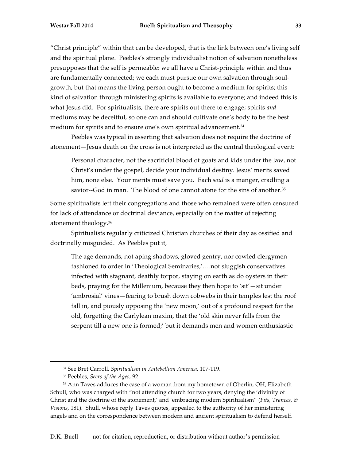"Christ principle" within that can be developed, that is the link between one's living self and the spiritual plane. Peebles's strongly individualist notion of salvation nonetheless presupposes that the self is permeable: we all have a Christ-principle within and thus are fundamentally connected; we each must pursue our own salvation through soulgrowth, but that means the living person ought to become a medium for spirits; this kind of salvation through ministering spirits is available to everyone; and indeed this is what Jesus did. For spiritualists, there are spirits out there to engage; spirits *and* mediums may be deceitful, so one can and should cultivate one's body to be the best medium for spirits and to ensure one's own spiritual advancement.<sup>34</sup>

Peebles was typical in asserting that salvation does not require the doctrine of atonement—Jesus death on the cross is not interpreted as the central theological event:

Personal character, not the sacrificial blood of goats and kids under the law, not Christ's under the gospel, decide your individual destiny. Jesus' merits saved him, none else. Your merits must save you. Each *soul* is a manger, cradling a savior--God in man. The blood of one cannot atone for the sins of another.<sup>35</sup>

Some spiritualists left their congregations and those who remained were often censured for lack of attendance or doctrinal deviance, especially on the matter of rejecting atonement theology.36

Spiritualists regularly criticized Christian churches of their day as ossified and doctrinally misguided. As Peebles put it,

The age demands, not aping shadows, gloved gentry, nor cowled clergymen fashioned to order in 'Theological Seminaries,'….not sluggish conservatives infected with stagnant, deathly torpor, staying on earth as do oysters in their beds, praying for the Millenium, because they then hope to 'sit'—sit under 'ambrosial' vines—fearing to brush down cobwebs in their temples lest the roof fall in, and piously opposing the 'new moon,' out of a profound respect for the old, forgetting the Carlylean maxim, that the 'old skin never falls from the serpent till a new one is formed;' but it demands men and women enthusiastic

<sup>34</sup> See Bret Carroll, *Spiritualism in Antebellum America*, 107-119.

<sup>35</sup> Peebles, *Seers of the Ages*, 92.

<sup>&</sup>lt;sup>36</sup> Ann Taves adduces the case of a woman from my hometown of Oberlin, OH, Elizabeth Schull, who was charged with "not attending church for two years, denying the 'divinity of Christ and the doctrine of the atonement,' and 'embracing modern Spiritualism" (*Fits, Trances, & Visions*, 181). Shull, whose reply Taves quotes, appealed to the authority of her ministering angels and on the correspondence between modern and ancient spiritualism to defend herself.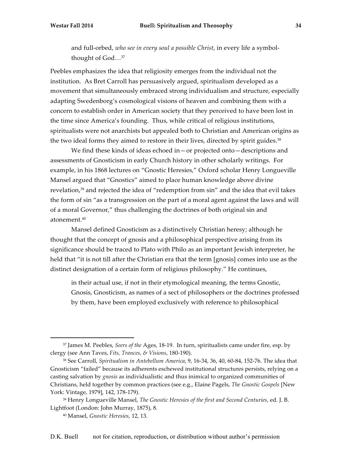and full-orbed, *who see in every soul a possible Christ*, in every life a symbolthought of God…37

Peebles emphasizes the idea that religiosity emerges from the individual not the institution. As Bret Carroll has persuasively argued, spiritualism developed as a movement that simultaneously embraced strong individualism and structure, especially adapting Swedenborg's cosmological visions of heaven and combining them with a concern to establish order in American society that they perceived to have been lost in the time since America's founding. Thus, while critical of religious institutions, spiritualists were not anarchists but appealed both to Christian and American origins as the two ideal forms they aimed to restore in their lives, directed by spirit guides.<sup>38</sup>

We find these kinds of ideas echoed in—or projected onto—descriptions and assessments of Gnosticism in early Church history in other scholarly writings. For example, in his 1868 lectures on "Gnostic Heresies," Oxford scholar Henry Longueville Mansel argued that "Gnostics" aimed to place human knowledge above divine revelation,<sup>39</sup> and rejected the idea of "redemption from sin" and the idea that evil takes the form of sin "as a transgression on the part of a moral agent against the laws and will of a moral Governor," thus challenging the doctrines of both original sin and atonement.40

Mansel defined Gnosticism as a distinctively Christian heresy; although he thought that the concept of gnosis and a philosophical perspective arising from its significance should be traced to Plato with Philo as an important Jewish interpreter, he held that "it is not till after the Christian era that the term [gnosis] comes into use as the distinct designation of a certain form of religious philosophy." He continues,

in their actual use, if not in their etymological meaning, the terms Gnostic, Gnosis, Gnosticism, as names of a sect of philosophers or the doctrines professed by them, have been employed exclusively with reference to philosophical

<sup>37</sup> James M. Peebles, *Seers of the* Ages, 18-19. In turn, spiritualists came under fire, esp. by clergy (see Ann Taves, *Fits, Trances, & Visions*, 180-190).

<sup>38</sup> See Carroll, *Spiritualism in Antebellum America*, 9, 16-34, 36, 40, 60-84, 152-76. The idea that Gnosticism "failed" because its adherents eschewed institutional structures persists, relying on a casting salvation by *gnosis* as individualistic and thus inimical to organized communities of Christians, held together by common practices (see e.g., Elaine Pagels, *The Gnostic Gospels* [New York: Vintage, 1979], 142, 178-179).

<sup>39</sup> Henry Longueville Mansel, *The Gnostic Heresies of the first and Second Centuries*, ed. J. B. Lightfoot (London: John Murray, 1875), 8.

<sup>40</sup> Mansel, *Gnostic Heresies*, 12, 13.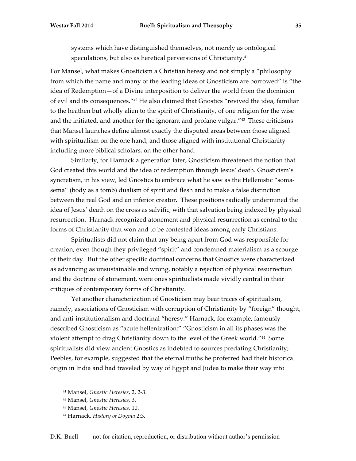systems which have distinguished themselves, not merely as ontological speculations, but also as heretical perversions of Christianity.<sup>41</sup>

For Mansel, what makes Gnosticism a Christian heresy and not simply a "philosophy from which the name and many of the leading ideas of Gnosticism are borrowed" is "the idea of Redemption—of a Divine interposition to deliver the world from the dominion of evil and its consequences."42 He also claimed that Gnostics "revived the idea, familiar to the heathen but wholly alien to the spirit of Christianity, of one religion for the wise and the initiated, and another for the ignorant and profane vulgar."43 These criticisms that Mansel launches define almost exactly the disputed areas between those aligned with spiritualism on the one hand, and those aligned with institutional Christianity including more biblical scholars, on the other hand.

Similarly, for Harnack a generation later, Gnosticism threatened the notion that God created this world and the idea of redemption through Jesus' death. Gnosticism's syncretism, in his view, led Gnostics to embrace what he saw as the Hellenistic "somasema" (body as a tomb) dualism of spirit and flesh and to make a false distinction between the real God and an inferior creator. These positions radically undermined the idea of Jesus' death on the cross as salvific, with that salvation being indexed by physical resurrection. Harnack recognized atonement and physical resurrection as central to the forms of Christianity that won and to be contested ideas among early Christians.

Spiritualists did not claim that any being apart from God was responsible for creation, even though they privileged "spirit" and condemned materialism as a scourge of their day. But the other specific doctrinal concerns that Gnostics were characterized as advancing as unsustainable and wrong, notably a rejection of physical resurrection and the doctrine of atonement, were ones spiritualists made vividly central in their critiques of contemporary forms of Christianity.

Yet another characterization of Gnosticism may bear traces of spiritualism, namely, associations of Gnosticism with corruption of Christianity by "foreign" thought, and anti-institutionalism and doctrinal "heresy." Harnack, for example, famously described Gnosticism as "acute hellenization:" "Gnosticism in all its phases was the violent attempt to drag Christianity down to the level of the Greek world."44 Some spiritualists did view ancient Gnostics as indebted to sources predating Christianity; Peebles, for example, suggested that the eternal truths he proferred had their historical origin in India and had traveled by way of Egypt and Judea to make their way into

<sup>41</sup> Mansel, *Gnostic Heresies*, 2, 2-3.

<sup>42</sup> Mansel, *Gnostic Heresies*, 3.

<sup>43</sup> Mansel, *Gnostic Heresies*, 10.

<sup>44</sup> Harnack, *History of Dogma* 2:3.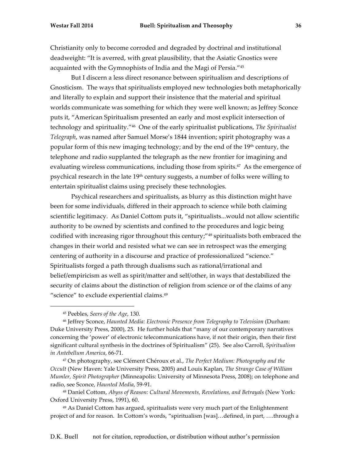Christianity only to become corroded and degraded by doctrinal and institutional deadweight: "It is averred, with great plausibility, that the Asiatic Gnostics were acquainted with the Gymnophists of India and the Magi of Persia."45

But I discern a less direct resonance between spiritualism and descriptions of Gnosticism. The ways that spiritualists employed new technologies both metaphorically and literally to explain and support their insistence that the material and spiritual worlds communicate was something for which they were well known; as Jeffrey Sconce puts it, "American Spiritualism presented an early and most explicit intersection of technology and spirituality."46 One of the early spiritualist publications, *The Spiritualist Telegraph*, was named after Samuel Morse's 1844 invention; spirit photography was a popular form of this new imaging technology; and by the end of the 19<sup>th</sup> century, the telephone and radio supplanted the telegraph as the new frontier for imagining and evaluating wireless communications, including those from spirits.<sup>47</sup> As the emergence of psychical research in the late 19th century suggests, a number of folks were willing to entertain spiritualist claims using precisely these technologies.

Psychical researchers and spiritualists, as blurry as this distinction might have been for some individuals, differed in their approach to science while both claiming scientific legitimacy. As Daniel Cottom puts it, "spiritualists...would not allow scientific authority to be owned by scientists and confined to the procedures and logic being codified with increasing rigor throughout this century;"48 spiritualists both embraced the changes in their world and resisted what we can see in retrospect was the emerging centering of authority in a discourse and practice of professionalized "science." Spiritualists forged a path through dualisms such as rational/irrational and belief/empiricism as well as spirit/matter and self/other, in ways that destabilized the security of claims about the distinction of religion from science or of the claims of any "science" to exclude experiential claims.<sup>49</sup>

 

<sup>47</sup> On photography, see Clément Chéroux et al., *The Perfect Medium: Photography and the Occult* (New Haven: Yale University Press, 2005) and Louis Kaplan, *The Strange Case of William Mumler, Spirit Photographer* (Minneapolis: University of Minnesota Press, 2008); on telephone and radio, see Sconce, *Haunted Media*, 59-91.

<sup>49</sup> As Daniel Cottom has argued, spiritualists were very much part of the Enlightenment project of and for reason. In Cottom's words, "spiritualism [was]…defined, in part, ….through a

<sup>45</sup> Peebles, *Seers of the Age*, 130.

<sup>46</sup> Jeffrey Sconce, *Haunted Media: Electronic Presence from Telegraphy to Television* (Durham: Duke University Press, 2000), 25. He further holds that "many of our contemporary narratives concerning the 'power' of electronic telecommunications have, if not their origin, then their first significant cultural synthesis in the doctrines of Spiritualism" (25). See also Carroll, *Spiritualism in Antebellum America*, 66-71.

<sup>48</sup> Daniel Cottom, *Abyss of Reason: Cultural Movements, Revelations, and Betrayals* (New York: Oxford University Press, 1991), 60.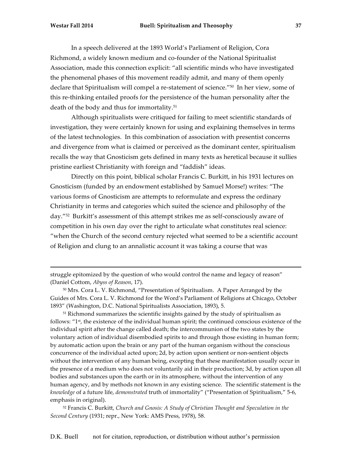In a speech delivered at the 1893 World's Parliament of Religion, Cora Richmond, a widely known medium and co-founder of the National Spiritualist Association, made this connection explicit: "all scientific minds who have investigated the phenomenal phases of this movement readily admit, and many of them openly declare that Spiritualism will compel a re-statement of science."50 In her view, some of this re-thinking entailed proofs for the persistence of the human personality after the death of the body and thus for immortality.51

Although spiritualists were critiqued for failing to meet scientific standards of investigation, they were certainly known for using and explaining themselves in terms of the latest technologies. In this combination of association with presentist concerns and divergence from what is claimed or perceived as the dominant center, spiritualism recalls the way that Gnosticism gets defined in many texts as heretical because it sullies pristine earliest Christianity with foreign and "faddish" ideas.

Directly on this point, biblical scholar Francis C. Burkitt, in his 1931 lectures on Gnosticism (funded by an endowment established by Samuel Morse!) writes: "The various forms of Gnosticism are attempts to reformulate and express the ordinary Christianity in terms and categories which suited the science and philosophy of the day."52 Burkitt's assessment of this attempt strikes me as self-consciously aware of competition in his own day over the right to articulate what constitutes real science: "when the Church of the second century rejected what seemed to be a scientific account of Religion and clung to an annalistic account it was taking a course that was

struggle epitomized by the question of who would control the name and legacy of reason" (Daniel Cottom, *Abyss of Reason*, 17).

<sup>50</sup> Mrs. Cora L. V. Richmond, "Presentation of Spiritualism. A Paper Arranged by the Guides of Mrs. Cora L. V. Richmond for the Word's Parliament of Religions at Chicago, October 1893" (Washington, D.C. National Spiritualists Association, 1893), 5.

<u> 1989 - Andrea Santa Alemania, amerikana amerikana amerikana amerikana amerikana amerikana amerikana amerikana</u>

<sup>51</sup> Richmond summarizes the scientific insights gained by the study of spiritualism as follows: " $1st$ , the existence of the individual human spirit; the continued conscious existence of the individual spirit after the change called death; the intercommunion of the two states by the voluntary action of individual disembodied spirits to and through those existing in human form; by automatic action upon the brain or any part of the human organism without the conscious concurrence of the individual acted upon; 2d, by action upon sentient or non-sentient objects without the intervention of any human being, excepting that these manifestation usually occur in the presence of a medium who does not voluntarily aid in their production; 3d, by action upon all bodies and substances upon the earth or in its atmosphere, without the intervention of any human agency, and by methods not known in any existing science. The scientific statement is the *knowledge* of a future life, *demonstrated* truth of immortality" ("Presentation of Spiritualism," 5-6, emphasis in original).

<sup>52</sup> Francis C. Burkitt, *Church and Gnosis: A Study of Christian Thought and Speculation in the Second Century* (1931; repr., New York: AMS Press, 1978), 58.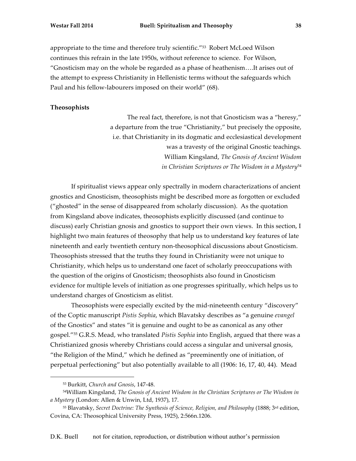appropriate to the time and therefore truly scientific."53 Robert McLoed Wilson continues this refrain in the late 1950s, without reference to science. For Wilson, "Gnosticism may on the whole be regarded as a phase of heathenism….It arises out of the attempt to express Christianity in Hellenistic terms without the safeguards which Paul and his fellow-labourers imposed on their world" (68).

## **Theosophists**

The real fact, therefore, is not that Gnosticism was a "heresy," a departure from the true "Christianity," but precisely the opposite, i.e. that Christianity in its dogmatic and ecclesiastical development was a travesty of the original Gnostic teachings. William Kingsland, *The Gnosis of Ancient Wisdom in Christian Scriptures or The Wisdom in a Mystery*54

If spiritualist views appear only spectrally in modern characterizations of ancient gnostics and Gnosticism, theosophists might be described more as forgotten or excluded ("ghosted" in the sense of disappeared from scholarly discussion). As the quotation from Kingsland above indicates, theosophists explicitly discussed (and continue to discuss) early Christian gnosis and gnostics to support their own views. In this section, I highlight two main features of theosophy that help us to understand key features of late nineteenth and early twentieth century non-theosophical discussions about Gnosticism. Theosophists stressed that the truths they found in Christianity were not unique to Christianity, which helps us to understand one facet of scholarly preoccupations with the question of the origins of Gnosticism; theosophists also found in Gnosticism evidence for multiple levels of initiation as one progresses spiritually, which helps us to understand charges of Gnosticism as elitist.

Theosophists were especially excited by the mid-nineteenth century "discovery" of the Coptic manuscript *Pistis Sophia*, which Blavatsky describes as "a genuine *evangel* of the Gnostics" and states "it is genuine and ought to be as canonical as any other gospel."55 G.R.S. Mead, who translated *Pistis Sophia* into English, argued that there was a Christianized gnosis whereby Christians could access a singular and universal gnosis, "the Religion of the Mind," which he defined as "preeminently one of initiation, of perpetual perfectioning" but also potentially available to all (1906: 16, 17, 40, 44). Mead

<sup>53</sup> Burkitt, *Church and Gnosis*, 147-48.

<sup>54</sup>William Kingsland, *The Gnosis of Ancient Wisdom in the Christian Scriptures or The Wisdom in a Mystery* (London: Allen & Unwin, Ltd, 1937), 17.

<sup>55</sup> Blavatsky, *Secret Doctrine: The Synthesis of Science, Religion, and Philosophy* (1888; 3rd edition, Covina, CA: Theosophical University Press, 1925), 2:566n.1206.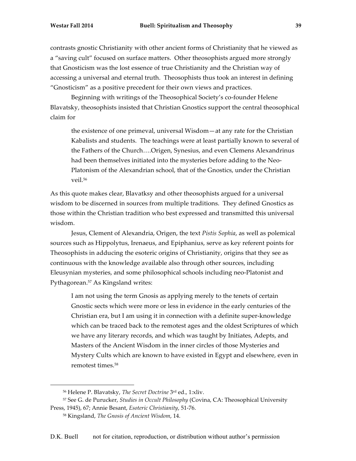contrasts gnostic Christianity with other ancient forms of Christianity that he viewed as a "saving cult" focused on surface matters. Other theosophists argued more strongly that Gnosticism was the lost essence of true Christianity and the Christian way of accessing a universal and eternal truth. Theosophists thus took an interest in defining "Gnosticism" as a positive precedent for their own views and practices.

Beginning with writings of the Theosophical Society's co-founder Helene Blavatsky, theosophists insisted that Christian Gnostics support the central theosophical claim for

the existence of one primeval, universal Wisdom—at any rate for the Christian Kabalists and students. The teachings were at least partially known to several of the Fathers of the Church….Origen, Synesius, and even Clemens Alexandrinus had been themselves initiated into the mysteries before adding to the Neo-Platonism of the Alexandrian school, that of the Gnostics, under the Christian veil.56

As this quote makes clear, Blavatksy and other theosophists argued for a universal wisdom to be discerned in sources from multiple traditions. They defined Gnostics as those within the Christian tradition who best expressed and transmitted this universal wisdom.

Jesus, Clement of Alexandria, Origen, the text *Pistis Sophia*, as well as polemical sources such as Hippolytus, Irenaeus, and Epiphanius, serve as key referent points for Theosophists in adducing the esoteric origins of Christianity, origins that they see as continuous with the knowledge available also through other sources, including Eleusynian mysteries, and some philosophical schools including neo-Platonist and Pythagorean.<sup>57</sup> As Kingsland writes:

I am not using the term Gnosis as applying merely to the tenets of certain Gnostic sects which were more or less in evidence in the early centuries of the Christian era, but I am using it in connection with a definite super-knowledge which can be traced back to the remotest ages and the oldest Scriptures of which we have any literary records, and which was taught by Initiates, Adepts, and Masters of the Ancient Wisdom in the inner circles of those Mysteries and Mystery Cults which are known to have existed in Egypt and elsewhere, even in remotest times.58

<sup>56</sup> Helene P. Blavatsky, *The Secret Doctrine* 3rd ed., 1:xliv.

<sup>57</sup> See G. de Purucker, *Studies in Occult Philosophy* (Covina, CA: Theosophical University Press, 1945), 67; Annie Besant, *Esoteric Christianity*, 51-76.

<sup>58</sup> Kingsland, *The Gnosis of Ancient Wisdom*, 14.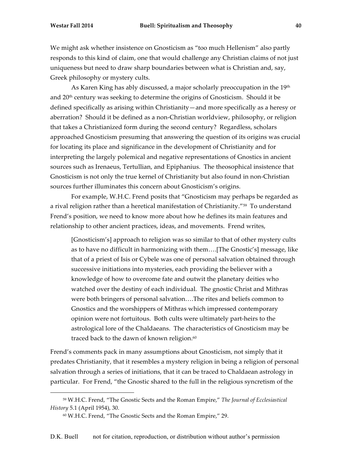We might ask whether insistence on Gnosticism as "too much Hellenism" also partly responds to this kind of claim, one that would challenge any Christian claims of not just uniqueness but need to draw sharp boundaries between what is Christian and, say, Greek philosophy or mystery cults.

As Karen King has ably discussed, a major scholarly preoccupation in the 19<sup>th</sup> and 20th century was seeking to determine the origins of Gnosticism. Should it be defined specifically as arising within Christianity—and more specifically as a heresy or aberration? Should it be defined as a non-Christian worldview, philosophy, or religion that takes a Christianized form during the second century? Regardless, scholars approached Gnosticism presuming that answering the question of its origins was crucial for locating its place and significance in the development of Christianity and for interpreting the largely polemical and negative representations of Gnostics in ancient sources such as Irenaeus, Tertullian, and Epiphanius. The theosophical insistence that Gnosticism is not only the true kernel of Christianity but also found in non-Christian sources further illuminates this concern about Gnosticism's origins.

For example, W.H.C. Frend posits that "Gnosticism may perhaps be regarded as a rival religion rather than a heretical manifestation of Christianity."59 To understand Frend's position, we need to know more about how he defines its main features and relationship to other ancient practices, ideas, and movements. Frend writes,

[Gnosticism's] approach to religion was so similar to that of other mystery cults as to have no difficult in harmonizing with them….[The Gnostic's] message, like that of a priest of Isis or Cybele was one of personal salvation obtained through successive initiations into mysteries, each providing the believer with a knowledge of how to overcome fate and outwit the planetary deities who watched over the destiny of each individual. The gnostic Christ and Mithras were both bringers of personal salvation….The rites and beliefs common to Gnostics and the worshippers of Mithras which impressed contemporary opinion were not fortuitous. Both cults were ultimately part-heirs to the astrological lore of the Chaldaeans. The characteristics of Gnosticism may be traced back to the dawn of known religion.<sup>60</sup>

Frend's comments pack in many assumptions about Gnosticism, not simply that it predates Christianity, that it resembles a mystery religion in being a religion of personal salvation through a series of initiations, that it can be traced to Chaldaean astrology in particular. For Frend, "the Gnostic shared to the full in the religious syncretism of the

<sup>59</sup> W.H.C. Frend, "The Gnostic Sects and the Roman Empire," *The Journal of Ecclesiastical History* 5.1 (April 1954), 30.

<sup>60</sup> W.H.C. Frend, "The Gnostic Sects and the Roman Empire," 29.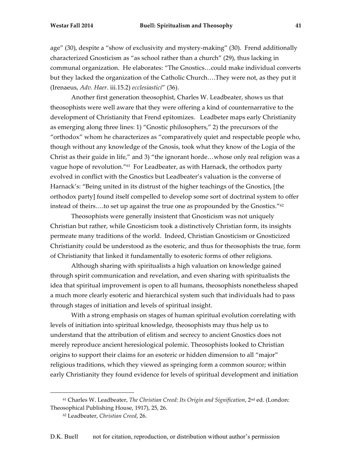age" (30), despite a "show of exclusivity and mystery-making" (30). Frend additionally characterized Gnosticism as "as school rather than a church" (29), thus lacking in communal organization. He elaborates: "The Gnostics…could make individual converts but they lacked the organization of the Catholic Church….They were not, as they put it (Irenaeus, *Adv. Haer*. iii.15.2) *ecclesiastici*" (36).

Another first generation theosophist, Charles W. Leadbeater, shows us that theosophists were well aware that they were offering a kind of counternarrative to the development of Christianity that Frend epitomizes. Leadbeter maps early Christianity as emerging along three lines: 1) "Gnostic philosophers," 2) the precursors of the "orthodox" whom he characterizes as "comparatively quiet and respectable people who, though without any knowledge of the Gnosis, took what they know of the Logia of the Christ as their guide in life," and 3) "the ignorant horde…whose only real religion was a vague hope of revolution."61 For Leadbeater, as with Harnack, the orthodox party evolved in conflict with the Gnostics but Leadbeater's valuation is the converse of Harnack's: "Being united in its distrust of the higher teachings of the Gnostics, [the orthodox party] found itself compelled to develop some sort of doctrinal system to offer instead of theirs….to set up against the true one as propounded by the Gnostics."62

Theosophists were generally insistent that Gnosticism was not uniquely Christian but rather, while Gnosticism took a distinctively Christian form, its insights permeate many traditions of the world. Indeed, Christian Gnosticism or Gnosticized Christianity could be understood as the esoteric, and thus for theosophists the true, form of Christianity that linked it fundamentally to esoteric forms of other religions.

Although sharing with spiritualists a high valuation on knowledge gained through spirit communication and revelation, and even sharing with spiritualists the idea that spiritual improvement is open to all humans, theosophists nonetheless shaped a much more clearly esoteric and hierarchical system such that individuals had to pass through stages of initiation and levels of spiritual insight.

With a strong emphasis on stages of human spiritual evolution correlating with levels of initiation into spiritual knowledge, theosophists may thus help us to understand that the attribution of elitism and secrecy to ancient Gnostics does not merely reproduce ancient heresiological polemic. Theosophists looked to Christian origins to support their claims for an esoteric or hidden dimension to all "major" religious traditions, which they viewed as springing form a common source; within early Christianity they found evidence for levels of spiritual development and initiation

<sup>61</sup> Charles W. Leadbeater, *The Christian Creed: Its Origin and Signification*, 2nd ed. (London: Theosophical Publishing House, 1917), 25, 26.

<sup>62</sup> Leadbeater, *Christian Creed*, 26.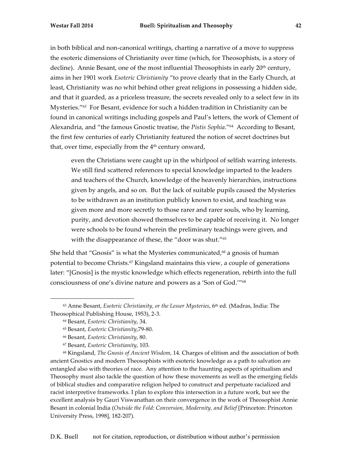in both biblical and non-canonical writings, charting a narrative of a move to suppress the esoteric dimensions of Christianity over time (which, for Theosophists, is a story of decline). Annie Besant, one of the most influential Theosophists in early  $20<sup>th</sup>$  century, aims in her 1901 work *Esoteric Christianity* "to prove clearly that in the Early Church, at least, Christianity was no whit behind other great religions in possessing a hidden side, and that it guarded, as a priceless treasure, the secrets revealed only to a select few in its Mysteries."63 For Besant, evidence for such a hidden tradition in Christianity can be found in canonical writings including gospels and Paul's letters, the work of Clement of Alexandria, and "the famous Gnostic treatise, the *Pistis Sophia*."64 According to Besant, the first few centuries of early Christianity featured the notion of secret doctrines but that, over time, especially from the 4<sup>th</sup> century onward,

even the Christians were caught up in the whirlpool of selfish warring interests. We still find scattered references to special knowledge imparted to the leaders and teachers of the Church, knowledge of the heavenly hierarchies, instructions given by angels, and so on. But the lack of suitable pupils caused the Mysteries to be withdrawn as an institution publicly known to exist, and teaching was given more and more secretly to those rarer and rarer souls, who by learning, purity, and devotion showed themselves to be capable of receiving it. No longer were schools to be found wherein the preliminary teachings were given, and with the disappearance of these, the "door was shut."65

She held that "Gnosis" is what the Mysteries communicated, $66$  a gnosis of human potential to become Christs.67 Kingsland maintains this view, a couple of generations later: "[Gnosis] is the mystic knowledge which effects regeneration, rebirth into the full consciousness of one's divine nature and powers as a 'Son of God.'"68

 

<sup>68</sup> Kingsland, *The Gnosis of Ancient Wisdom*, 14. Charges of elitism and the association of both ancient Gnostics and modern Theosophists with esoteric knowledge as a path to salvation are entangled also with theories of race. Any attention to the haunting aspects of spiritualism and Theosophy must also tackle the question of how these movements as well as the emerging fields of biblical studies and comparative religion helped to construct and perpetuate racialized and racist interpretive frameworks. I plan to explore this intersection in a future work, but see the excellent analysis by Gauri Viswanathan on their convergence in the work of Theosophist Annie Besant in colonial India (*Outside the Fold: Conversion, Modernity, and Belief* [Princeton: Princeton University Press, 1998], 182-207).

<sup>63</sup> Anne Besant, *Esoteric Christianity, or the Lesser Mysteries*, 6th ed. (Madras, India: The Theosophical Publishing House, 1953), 2-3.

<sup>64</sup> Besant, *Esoteric Christianity*, 34.

<sup>65</sup> Besant, *Esoteric Christianity*,79-80.

<sup>66</sup> Besant, *Esoteric Christianity*, 80.

<sup>67</sup> Besant, *Esoteric Christianity*, 103.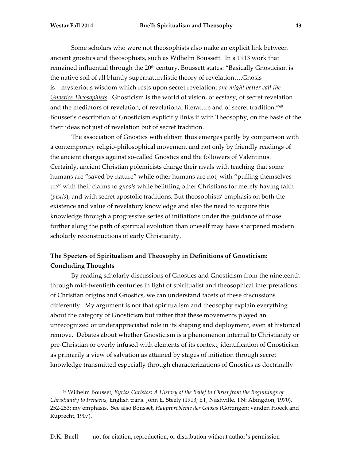Some scholars who were not theosophists also make an explicit link between ancient gnostics and theosophists, such as Wilhelm Boussett. In a 1913 work that remained influential through the 20<sup>th</sup> century, Boussett states: "Basically Gnosticism is the native soil of all bluntly supernaturalistic theory of revelation….Gnosis is…mysterious wisdom which rests upon secret revelation; *one might better call the Gnostics Theosophists*. Gnosticism is the world of vision, of ecstasy, of secret revelation and the mediators of revelation, of revelational literature and of secret tradition."69 Bousset's description of Gnosticism explicitly links it with Theosophy, on the basis of the their ideas not just of revelation but of secret tradition.

The association of Gnostics with elitism thus emerges partly by comparison with a contemporary religio-philosophical movement and not only by friendly readings of the ancient charges against so-called Gnostics and the followers of Valentinus. Certainly, ancient Christian polemicists charge their rivals with teaching that some humans are "saved by nature" while other humans are not, with "puffing themselves up" with their claims to *gnosis* while belittling other Christians for merely having faith (*pistis*); and with secret apostolic traditions. But theosophists' emphasis on both the existence and value of revelatory knowledge and also the need to acquire this knowledge through a progressive series of initiations under the guidance of those further along the path of spiritual evolution than oneself may have sharpened modern scholarly reconstructions of early Christianity.

# **The Specters of Spiritualism and Theosophy in Definitions of Gnosticism: Concluding Thoughts**

By reading scholarly discussions of Gnostics and Gnosticism from the nineteenth through mid-twentieth centuries in light of spiritualist and theosophical interpretations of Christian origins and Gnostics, we can understand facets of these discussions differently. My argument is not that spiritualism and theosophy explain everything about the category of Gnosticism but rather that these movements played an unrecognized or underappreciated role in its shaping and deployment, even at historical remove. Debates about whether Gnosticism is a phenomenon internal to Christianity or pre-Christian or overly infused with elements of its context, identification of Gnosticism as primarily a view of salvation as attained by stages of initiation through secret knowledge transmitted especially through characterizations of Gnostics as doctrinally

<sup>69</sup> Wilhelm Bousset, *Kyrios Christos: A History of the Belief in Christ from the Beginnings of Christianity to Irenaeus*, English trans. John E. Steely (1913; ET, Nashville, TN: Abingdon, 1970), 252-253; my emphasis. See also Bousset, *Hauptprobleme der Gnosis* (Göttingen: vanden Hoeck and Ruprecht, 1907).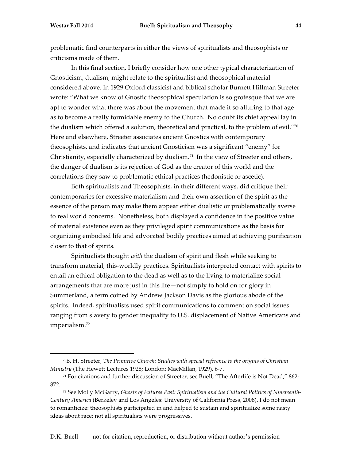problematic find counterparts in either the views of spiritualists and theosophists or criticisms made of them.

In this final section, I briefly consider how one other typical characterization of Gnosticism, dualism, might relate to the spiritualist and theosophical material considered above. In 1929 Oxford classicist and biblical scholar Burnett Hillman Streeter wrote: "What we know of Gnostic theosophical speculation is so grotesque that we are apt to wonder what there was about the movement that made it so alluring to that age as to become a really formidable enemy to the Church. No doubt its chief appeal lay in the dualism which offered a solution, theoretical and practical, to the problem of evil."70 Here and elsewhere, Streeter associates ancient Gnostics with contemporary theosophists, and indicates that ancient Gnosticism was a significant "enemy" for Christianity, especially characterized by dualism.<sup>71</sup> In the view of Streeter and others, the danger of dualism is its rejection of God as the creator of this world and the correlations they saw to problematic ethical practices (hedonistic or ascetic).

Both spiritualists and Theosophists, in their different ways, did critique their contemporaries for excessive materialism and their own assertion of the spirit as the essence of the person may make them appear either dualistic or problematically averse to real world concerns. Nonetheless, both displayed a confidence in the positive value of material existence even as they privileged spirit communications as the basis for organizing embodied life and advocated bodily practices aimed at achieving purification closer to that of spirits.

Spiritualists thought *with* the dualism of spirit and flesh while seeking to transform material, this-worldly practices. Spiritualists interpreted contact with spirits to entail an ethical obligation to the dead as well as to the living to materialize social arrangements that are more just in this life—not simply to hold on for glory in Summerland, a term coined by Andrew Jackson Davis as the glorious abode of the spirits. Indeed, spiritualists used spirit communications to comment on social issues ranging from slavery to gender inequality to U.S. displacement of Native Americans and imperialism.72

<sup>70</sup>B. H. Streeter, *The Primitive Church: Studies with special reference to the origins of Christian Ministry* (The Hewett Lectures 1928; London: MacMillan, 1929), 6-7.

<sup>71</sup> For citations and further discussion of Streeter, see Buell, "The Afterlife is Not Dead," 862- 872.

<sup>72</sup> See Molly McGarry, *Ghosts of Futures Past: Spiritualism and the Cultural Politics of Nineteenth-Century America* (Berkeley and Los Angeles: University of California Press, 2008). I do not mean to romanticize: theosophists participated in and helped to sustain and spiritualize some nasty ideas about race; not all spiritualists were progressives.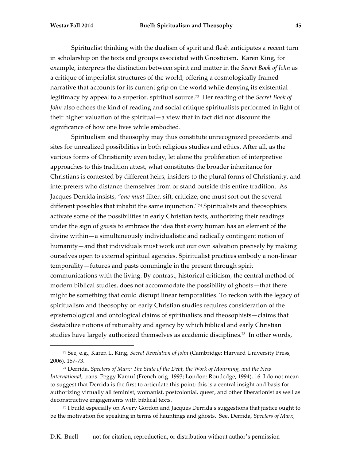Spiritualist thinking with the dualism of spirit and flesh anticipates a recent turn in scholarship on the texts and groups associated with Gnosticism. Karen King, for example, interprets the distinction between spirit and matter in the *Secret Book of John* as a critique of imperialist structures of the world, offering a cosmologically framed narrative that accounts for its current grip on the world while denying its existential legitimacy by appeal to a superior, spiritual source.73 Her reading of the *Secret Book of John* also echoes the kind of reading and social critique spiritualists performed in light of their higher valuation of the spiritual—a view that in fact did not discount the significance of how one lives while embodied.

Spiritualism and theosophy may thus constitute unrecognized precedents and sites for unrealized possibilities in both religious studies and ethics. After all, as the various forms of Christianity even today, let alone the proliferation of interpretive approaches to this tradition attest, what constitutes the broader inheritance for Christians is contested by different heirs, insiders to the plural forms of Christianity, and interpreters who distance themselves from or stand outside this entire tradition. As Jacques Derrida insists, *"one must* filter, sift, criticize; one must sort out the several different possibles that inhabit the same injunction."74 Spiritualists and theosophists activate some of the possibilities in early Christian texts, authorizing their readings under the sign of *gnosis* to embrace the idea that every human has an element of the divine within—a simultaneously individualistic and radically contingent notion of humanity—and that individuals must work out our own salvation precisely by making ourselves open to external spiritual agencies. Spiritualist practices embody a non-linear temporality—futures and pasts commingle in the present through spirit communications with the living. By contrast, historical criticism, the central method of modern biblical studies, does not accommodate the possibility of ghosts—that there might be something that could disrupt linear temporalities. To reckon with the legacy of spiritualism and theosophy on early Christian studies requires consideration of the epistemological and ontological claims of spiritualists and theosophists—claims that destabilize notions of rationality and agency by which biblical and early Christian studies have largely authorized themselves as academic disciplines.75 In other words,

 

<sup>75</sup> I build especially on Avery Gordon and Jacques Derrida's suggestions that justice ought to be the motivation for speaking in terms of hauntings and ghosts. See, Derrida, *Specters of Marx*,

<sup>73</sup> See, e.g., Karen L. King, *Secret Revelation of John* (Cambridge: Harvard University Press, 2006), 157-73.

<sup>74</sup> Derrida, *Specters of Marx: The State of the Debt, the Work of Mourning, and the New International*, trans. Peggy Kamuf (French orig. 1993; London: Routledge, 1994), 16. I do not mean to suggest that Derrida is the first to articulate this point; this is a central insight and basis for authorizing virtually all feminist, womanist, postcolonial, queer, and other liberationist as well as deconstructive engagements with biblical texts.